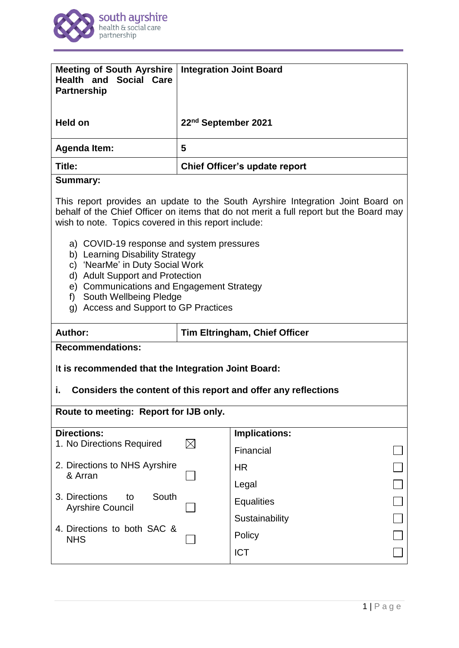

| <b>Meeting of South Ayrshire</b><br><b>Health and Social Care</b><br><b>Partnership</b>                                                                                                                                                                                                                                                                                                                                                                                                                       |                                 | <b>Integration Joint Board</b>       |  |
|---------------------------------------------------------------------------------------------------------------------------------------------------------------------------------------------------------------------------------------------------------------------------------------------------------------------------------------------------------------------------------------------------------------------------------------------------------------------------------------------------------------|---------------------------------|--------------------------------------|--|
| <b>Held on</b>                                                                                                                                                                                                                                                                                                                                                                                                                                                                                                | 22 <sup>nd</sup> September 2021 |                                      |  |
| <b>Agenda Item:</b>                                                                                                                                                                                                                                                                                                                                                                                                                                                                                           | 5                               |                                      |  |
| Title:                                                                                                                                                                                                                                                                                                                                                                                                                                                                                                        |                                 | Chief Officer's update report        |  |
| <b>Summary:</b>                                                                                                                                                                                                                                                                                                                                                                                                                                                                                               |                                 |                                      |  |
| This report provides an update to the South Ayrshire Integration Joint Board on<br>behalf of the Chief Officer on items that do not merit a full report but the Board may<br>wish to note. Topics covered in this report include:<br>a) COVID-19 response and system pressures<br>b) Learning Disability Strategy<br>c) 'NearMe' in Duty Social Work<br>d) Adult Support and Protection<br>e) Communications and Engagement Strategy<br>South Wellbeing Pledge<br>f)<br>g) Access and Support to GP Practices |                                 |                                      |  |
| Author:                                                                                                                                                                                                                                                                                                                                                                                                                                                                                                       |                                 | <b>Tim Eltringham, Chief Officer</b> |  |
| <b>Recommendations:</b>                                                                                                                                                                                                                                                                                                                                                                                                                                                                                       |                                 |                                      |  |
| It is recommended that the Integration Joint Board:                                                                                                                                                                                                                                                                                                                                                                                                                                                           |                                 |                                      |  |
| i.<br>Considers the content of this report and offer any reflections                                                                                                                                                                                                                                                                                                                                                                                                                                          |                                 |                                      |  |
| Route to meeting: Report for IJB only.                                                                                                                                                                                                                                                                                                                                                                                                                                                                        |                                 |                                      |  |
|                                                                                                                                                                                                                                                                                                                                                                                                                                                                                                               |                                 |                                      |  |
| <b>Directions:</b><br>1. No Directions Required                                                                                                                                                                                                                                                                                                                                                                                                                                                               | IX                              | <b>Implications:</b>                 |  |
| 2. Directions to NHS Ayrshire<br>& Arran                                                                                                                                                                                                                                                                                                                                                                                                                                                                      |                                 | Financial                            |  |
|                                                                                                                                                                                                                                                                                                                                                                                                                                                                                                               |                                 | <b>HR</b>                            |  |
| South<br>3. Directions<br>to<br><b>Ayrshire Council</b>                                                                                                                                                                                                                                                                                                                                                                                                                                                       |                                 | Legal                                |  |
|                                                                                                                                                                                                                                                                                                                                                                                                                                                                                                               |                                 | <b>Equalities</b>                    |  |
| 4. Directions to both SAC &                                                                                                                                                                                                                                                                                                                                                                                                                                                                                   |                                 | Sustainability<br>Policy             |  |
| <b>NHS</b>                                                                                                                                                                                                                                                                                                                                                                                                                                                                                                    |                                 | <b>ICT</b>                           |  |
|                                                                                                                                                                                                                                                                                                                                                                                                                                                                                                               |                                 |                                      |  |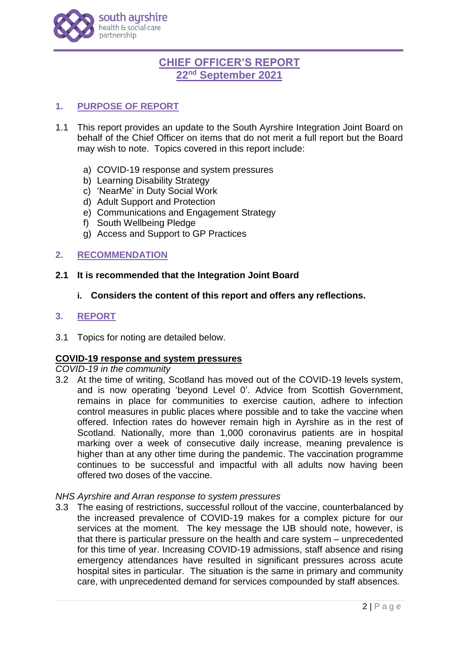

# **CHIEF OFFICER'S REPORT 22nd September 2021**

# **1. PURPOSE OF REPORT**

- 1.1 This report provides an update to the South Ayrshire Integration Joint Board on behalf of the Chief Officer on items that do not merit a full report but the Board may wish to note. Topics covered in this report include:
	- a) COVID-19 response and system pressures
	- b) Learning Disability Strategy
	- c) 'NearMe' in Duty Social Work
	- d) Adult Support and Protection
	- e) Communications and Engagement Strategy
	- f) South Wellbeing Pledge
	- g) Access and Support to GP Practices

### **2. RECOMMENDATION**

### **2.1 It is recommended that the Integration Joint Board**

**i. Considers the content of this report and offers any reflections.**

### **3. REPORT**

3.1 Topics for noting are detailed below.

## **COVID-19 response and system pressures**

### *COVID-19 in the community*

3.2 At the time of writing, Scotland has moved out of the COVID-19 levels system, and is now operating 'beyond Level 0'. Advice from Scottish Government, remains in place for communities to exercise caution, adhere to infection control measures in public places where possible and to take the vaccine when offered. Infection rates do however remain high in Ayrshire as in the rest of Scotland. Nationally, more than 1,000 coronavirus patients are in hospital marking over a week of consecutive daily increase, meaning prevalence is higher than at any other time during the pandemic. The vaccination programme continues to be successful and impactful with all adults now having been offered two doses of the vaccine.

#### *NHS Ayrshire and Arran response to system pressures*

3.3 The easing of restrictions, successful rollout of the vaccine, counterbalanced by the increased prevalence of COVID-19 makes for a complex picture for our services at the moment. The key message the IJB should note, however, is that there is particular pressure on the health and care system – unprecedented for this time of year. Increasing COVID-19 admissions, staff absence and rising emergency attendances have resulted in significant pressures across acute hospital sites in particular. The situation is the same in primary and community care, with unprecedented demand for services compounded by staff absences.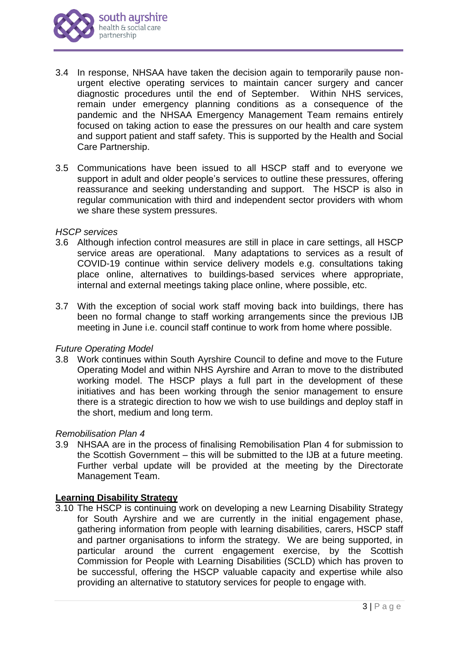

- 3.4 In response, NHSAA have taken the decision again to temporarily pause nonurgent elective operating services to maintain cancer surgery and cancer diagnostic procedures until the end of September. Within NHS services, remain under emergency planning conditions as a consequence of the pandemic and the NHSAA Emergency Management Team remains entirely focused on taking action to ease the pressures on our health and care system and support patient and staff safety. This is supported by the Health and Social Care Partnership.
- 3.5 Communications have been issued to all HSCP staff and to everyone we support in adult and older people's services to outline these pressures, offering reassurance and seeking understanding and support. The HSCP is also in regular communication with third and independent sector providers with whom we share these system pressures.

#### *HSCP services*

- 3.6 Although infection control measures are still in place in care settings, all HSCP service areas are operational. Many adaptations to services as a result of COVID-19 continue within service delivery models e.g. consultations taking place online, alternatives to buildings-based services where appropriate, internal and external meetings taking place online, where possible, etc.
- 3.7 With the exception of social work staff moving back into buildings, there has been no formal change to staff working arrangements since the previous IJB meeting in June i.e. council staff continue to work from home where possible.

## *Future Operating Model*

3.8 Work continues within South Ayrshire Council to define and move to the Future Operating Model and within NHS Ayrshire and Arran to move to the distributed working model. The HSCP plays a full part in the development of these initiatives and has been working through the senior management to ensure there is a strategic direction to how we wish to use buildings and deploy staff in the short, medium and long term.

#### *Remobilisation Plan 4*

3.9 NHSAA are in the process of finalising Remobilisation Plan 4 for submission to the Scottish Government – this will be submitted to the IJB at a future meeting. Further verbal update will be provided at the meeting by the Directorate Management Team.

#### **Learning Disability Strategy**

3.10 The HSCP is continuing work on developing a new Learning Disability Strategy for South Ayrshire and we are currently in the initial engagement phase, gathering information from people with learning disabilities, carers, HSCP staff and partner organisations to inform the strategy. We are being supported, in particular around the current engagement exercise, by the Scottish Commission for People with Learning Disabilities (SCLD) which has proven to be successful, offering the HSCP valuable capacity and expertise while also providing an alternative to statutory services for people to engage with.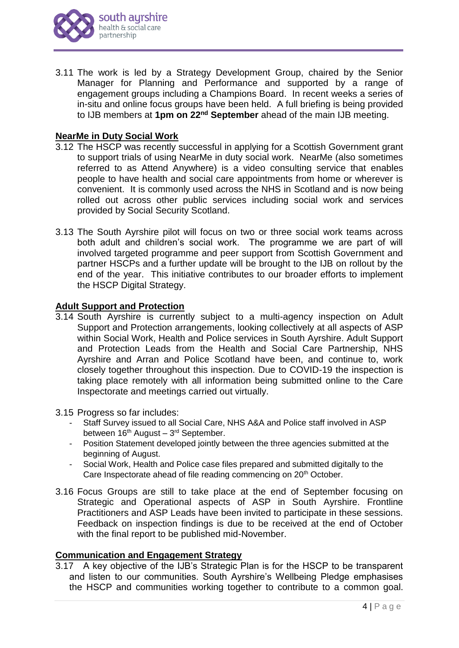

3.11 The work is led by a Strategy Development Group, chaired by the Senior Manager for Planning and Performance and supported by a range of engagement groups including a Champions Board. In recent weeks a series of in-situ and online focus groups have been held. A full briefing is being provided to IJB members at **1pm on 22nd September** ahead of the main IJB meeting.

### **NearMe in Duty Social Work**

- 3.12 The HSCP was recently successful in applying for a Scottish Government grant to support trials of using NearMe in duty social work. NearMe (also sometimes referred to as Attend Anywhere) is a video consulting service that enables people to have health and social care appointments from home or wherever is convenient. It is commonly used across the NHS in Scotland and is now being rolled out across other public services including social work and services provided by Social Security Scotland.
- 3.13 The South Ayrshire pilot will focus on two or three social work teams across both adult and children's social work. The programme we are part of will involved targeted programme and peer support from Scottish Government and partner HSCPs and a further update will be brought to the IJB on rollout by the end of the year. This initiative contributes to our broader efforts to implement the HSCP Digital Strategy.

### **Adult Support and Protection**

- 3.14 South Ayrshire is currently subject to a multi-agency inspection on Adult Support and Protection arrangements, looking collectively at all aspects of ASP within Social Work, Health and Police services in South Ayrshire. Adult Support and Protection Leads from the Health and Social Care Partnership, NHS Ayrshire and Arran and Police Scotland have been, and continue to, work closely together throughout this inspection. Due to COVID-19 the inspection is taking place remotely with all information being submitted online to the Care Inspectorate and meetings carried out virtually.
- 3.15 Progress so far includes:
	- Staff Survey issued to all Social Care, NHS A&A and Police staff involved in ASP between 16<sup>th</sup> August – 3<sup>rd</sup> September.
	- Position Statement developed jointly between the three agencies submitted at the beginning of August.
	- Social Work, Health and Police case files prepared and submitted digitally to the Care Inspectorate ahead of file reading commencing on 20<sup>th</sup> October.
- 3.16 Focus Groups are still to take place at the end of September focusing on Strategic and Operational aspects of ASP in South Ayrshire. Frontline Practitioners and ASP Leads have been invited to participate in these sessions. Feedback on inspection findings is due to be received at the end of October with the final report to be published mid-November.

### **Communication and Engagement Strategy**

3.17 A key objective of the IJB's Strategic Plan is for the HSCP to be transparent and listen to our communities. South Ayrshire's Wellbeing Pledge emphasises the HSCP and communities working together to contribute to a common goal.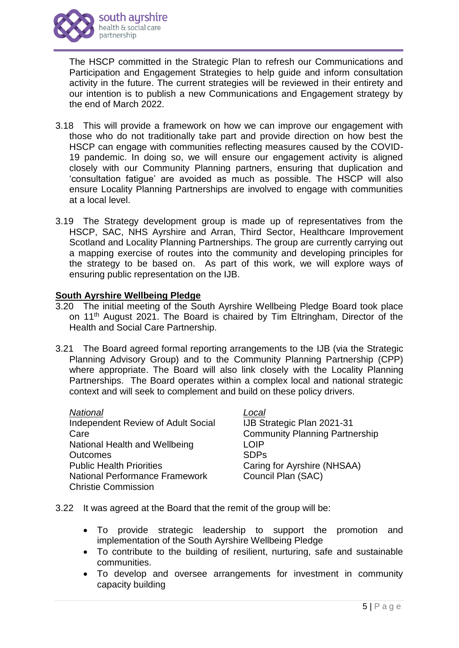

The HSCP committed in the Strategic Plan to refresh our Communications and Participation and Engagement Strategies to help guide and inform consultation activity in the future. The current strategies will be reviewed in their entirety and our intention is to publish a new Communications and Engagement strategy by the end of March 2022.

- 3.18 This will provide a framework on how we can improve our engagement with those who do not traditionally take part and provide direction on how best the HSCP can engage with communities reflecting measures caused by the COVID-19 pandemic. In doing so, we will ensure our engagement activity is aligned closely with our Community Planning partners, ensuring that duplication and 'consultation fatigue' are avoided as much as possible. The HSCP will also ensure Locality Planning Partnerships are involved to engage with communities at a local level.
- 3.19 The Strategy development group is made up of representatives from the HSCP, SAC, NHS Ayrshire and Arran, Third Sector, Healthcare Improvement Scotland and Locality Planning Partnerships. The group are currently carrying out a mapping exercise of routes into the community and developing principles for the strategy to be based on. As part of this work, we will explore ways of ensuring public representation on the IJB.

### **South Ayrshire Wellbeing Pledge**

- 3.20 The initial meeting of the South Ayrshire Wellbeing Pledge Board took place on 11<sup>th</sup> August 2021. The Board is chaired by Tim Eltringham, Director of the Health and Social Care Partnership.
- 3.21 The Board agreed formal reporting arrangements to the IJB (via the Strategic Planning Advisory Group) and to the Community Planning Partnership (CPP) where appropriate. The Board will also link closely with the Locality Planning Partnerships. The Board operates within a complex local and national strategic context and will seek to complement and build on these policy drivers.

| National                              | Local                                 |
|---------------------------------------|---------------------------------------|
| Independent Review of Adult Social    | IJB Strategic Plan 2021-31            |
| Care                                  | <b>Community Planning Partnership</b> |
| National Health and Wellbeing         | <b>LOIP</b>                           |
| <b>Outcomes</b>                       | <b>SDPs</b>                           |
| <b>Public Health Priorities</b>       | Caring for Ayrshire (NHSAA)           |
| <b>National Performance Framework</b> | Council Plan (SAC)                    |
| <b>Christie Commission</b>            |                                       |

- 3.22 It was agreed at the Board that the remit of the group will be:
	- To provide strategic leadership to support the promotion and implementation of the South Ayrshire Wellbeing Pledge
	- To contribute to the building of resilient, nurturing, safe and sustainable communities.
	- To develop and oversee arrangements for investment in community capacity building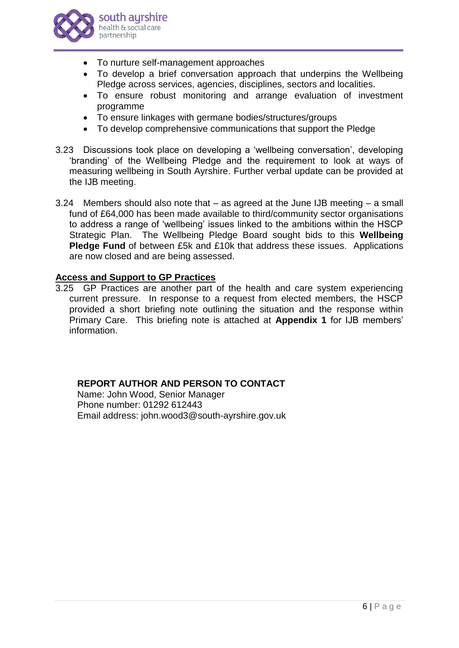

- To nurture self-management approaches
- To develop a brief conversation approach that underpins the Wellbeing Pledge across services, agencies, disciplines, sectors and localities.
- To ensure robust monitoring and arrange evaluation of investment programme
- To ensure linkages with germane bodies/structures/groups
- To develop comprehensive communications that support the Pledge
- 3.23 Discussions took place on developing a 'wellbeing conversation', developing 'branding' of the Wellbeing Pledge and the requirement to look at ways of measuring wellbeing in South Ayrshire. Further verbal update can be provided at the IJB meeting.
- 3.24 Members should also note that as agreed at the June IJB meeting a small fund of £64,000 has been made available to third/community sector organisations to address a range of 'wellbeing' issues linked to the ambitions within the HSCP Strategic Plan. The Wellbeing Pledge Board sought bids to this **Wellbeing Pledge Fund** of between £5k and £10k that address these issues. Applications are now closed and are being assessed.

# **Access and Support to GP Practices**

3.25 GP Practices are another part of the health and care system experiencing current pressure. In response to a request from elected members, the HSCP provided a short briefing note outlining the situation and the response within Primary Care. This briefing note is attached at **Appendix 1** for IJB members' information.

# **REPORT AUTHOR AND PERSON TO CONTACT**

Name: John Wood, Senior Manager Phone number: 01292 612443 Email address: john.wood3@south-ayrshire.gov.uk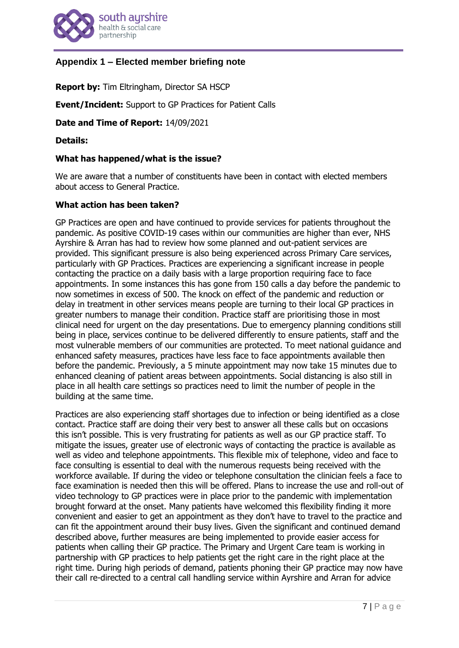

# **Appendix 1 – Elected member briefing note**

**Report by:** Tim Eltringham, Director SA HSCP

**Event/Incident:** Support to GP Practices for Patient Calls

**Date and Time of Report:** 14/09/2021

**Details:**

#### **What has happened/what is the issue?**

We are aware that a number of constituents have been in contact with elected members about access to General Practice.

#### **What action has been taken?**

GP Practices are open and have continued to provide services for patients throughout the pandemic. As positive COVID-19 cases within our communities are higher than ever, NHS Ayrshire & Arran has had to review how some planned and out-patient services are provided. This significant pressure is also being experienced across Primary Care services, particularly with GP Practices. Practices are experiencing a significant increase in people contacting the practice on a daily basis with a large proportion requiring face to face appointments. In some instances this has gone from 150 calls a day before the pandemic to now sometimes in excess of 500. The knock on effect of the pandemic and reduction or delay in treatment in other services means people are turning to their local GP practices in greater numbers to manage their condition. Practice staff are prioritising those in most clinical need for urgent on the day presentations. Due to emergency planning conditions still being in place, services continue to be delivered differently to ensure patients, staff and the most vulnerable members of our communities are protected. To meet national guidance and enhanced safety measures, practices have less face to face appointments available then before the pandemic. Previously, a 5 minute appointment may now take 15 minutes due to enhanced cleaning of patient areas between appointments. Social distancing is also still in place in all health care settings so practices need to limit the number of people in the building at the same time.

Practices are also experiencing staff shortages due to infection or being identified as a close contact. Practice staff are doing their very best to answer all these calls but on occasions this isn't possible. This is very frustrating for patients as well as our GP practice staff. To mitigate the issues, greater use of electronic ways of contacting the practice is available as well as video and telephone appointments. This flexible mix of telephone, video and face to face consulting is essential to deal with the numerous requests being received with the workforce available. If during the video or telephone consultation the clinician feels a face to face examination is needed then this will be offered. Plans to increase the use and roll-out of video technology to GP practices were in place prior to the pandemic with implementation brought forward at the onset. Many patients have welcomed this flexibility finding it more convenient and easier to get an appointment as they don't have to travel to the practice and can fit the appointment around their busy lives. Given the significant and continued demand described above, further measures are being implemented to provide easier access for patients when calling their GP practice. The Primary and Urgent Care team is working in partnership with GP practices to help patients get the right care in the right place at the right time. During high periods of demand, patients phoning their GP practice may now have their call re-directed to a central call handling service within Ayrshire and Arran for advice